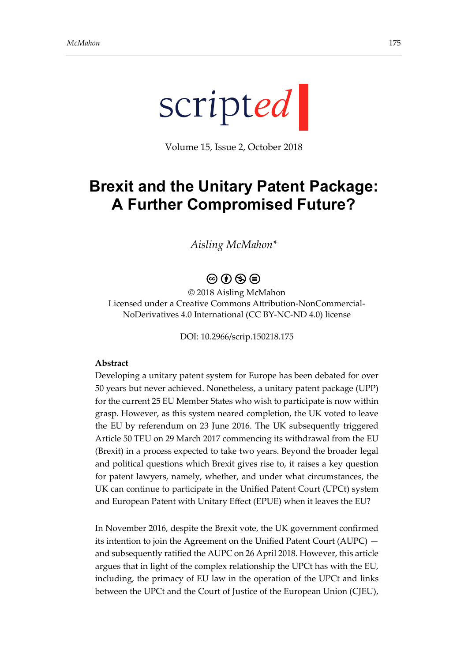

Volume 15, Issue 2, October 2018

# **Brexit and the Unitary Patent Package: A Further Compromised Future?**

#### *Aisling McMahon\**

## $\circledcirc$   $\circledcirc$   $\circledcirc$

© 2018 Aisling McMahon Licensed under a Creative Commons Attribution-NonCommercial-NoDerivatives 4.0 International (CC BY-NC-ND 4.0) license

DOI: 10.2966/scrip.150218.175

#### **Abstract**

Developing a unitary patent system for Europe has been debated for over 50 years but never achieved. Nonetheless, a unitary patent package (UPP) for the current 25 EU Member States who wish to participate is now within grasp. However, as this system neared completion, the UK voted to leave the EU by referendum on 23 June 2016. The UK subsequently triggered Article 50 TEU on 29 March 2017 commencing its withdrawal from the EU (Brexit) in a process expected to take two years. Beyond the broader legal and political questions which Brexit gives rise to, it raises a key question for patent lawyers, namely, whether, and under what circumstances, the UK can continue to participate in the Unified Patent Court (UPCt) system and European Patent with Unitary Effect (EPUE) when it leaves the EU?

In November 2016, despite the Brexit vote, the UK government confirmed its intention to join the Agreement on the Unified Patent Court (AUPC) and subsequently ratified the AUPC on 26 April 2018. However, this article argues that in light of the complex relationship the UPCt has with the EU, including, the primacy of EU law in the operation of the UPCt and links between the UPCt and the Court of Justice of the European Union (CJEU),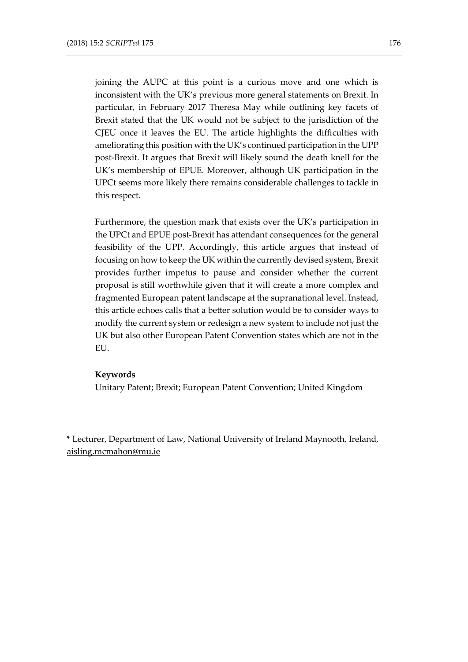joining the AUPC at this point is a curious move and one which is inconsistent with the UK's previous more general statements on Brexit. In particular, in February 2017 Theresa May while outlining key facets of Brexit stated that the UK would not be subject to the jurisdiction of the CJEU once it leaves the EU. The article highlights the difficulties with ameliorating this position with the UK's continued participation in the UPP post-Brexit. It argues that Brexit will likely sound the death knell for the UK's membership of EPUE. Moreover, although UK participation in the UPCt seems more likely there remains considerable challenges to tackle in this respect.

Furthermore, the question mark that exists over the UK's participation in the UPCt and EPUE post-Brexit has attendant consequences for the general feasibility of the UPP. Accordingly, this article argues that instead of focusing on how to keep the UK within the currently devised system, Brexit provides further impetus to pause and consider whether the current proposal is still worthwhile given that it will create a more complex and fragmented European patent landscape at the supranational level. Instead, this article echoes calls that a better solution would be to consider ways to modify the current system or redesign a new system to include not just the UK but also other European Patent Convention states which are not in the EU.

#### **Keywords**

Unitary Patent; Brexit; European Patent Convention; United Kingdom

<sup>\*</sup> [Lecturer,](mailto:Lecturer) Department of Law, National University of Ireland Maynooth, Ireland, [aisling.mcmahon@mu.ie](mailto:aisling.mcmahon@mu.ie)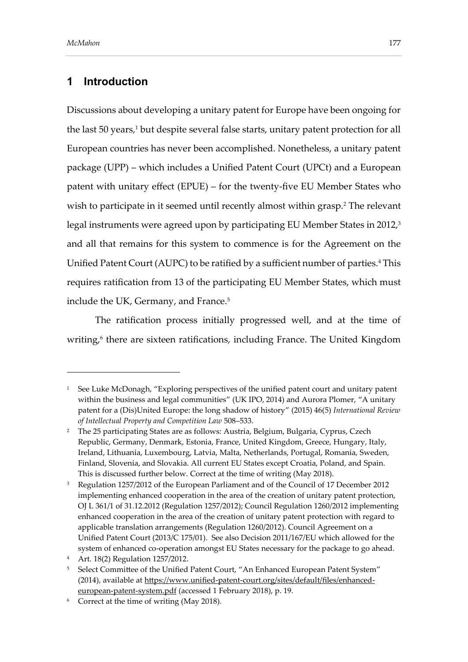## **1 Introduction**

Discussions about developing a unitary patent for Europe have been ongoing for the last 50 years,<sup>1</sup> but despite several false starts, unitary patent protection for all European countries has never been accomplished. Nonetheless, a unitary patent package (UPP) – which includes a Unified Patent Court (UPCt) and a European patent with unitary effect (EPUE) – for the twenty-five EU Member States who wish to participate in it seemed until recently almost within grasp.<sup>2</sup> The relevant legal instruments were agreed upon by participating EU Member States in 2012, 3 and all that remains for this system to commence is for the Agreement on the Unified Patent Court (AUPC) to be ratified by a sufficient number of parties. <sup>4</sup> This requires ratification from 13 of the participating EU Member States, which must include the UK, Germany, and France.<sup>5</sup>

The ratification process initially progressed well, and at the time of writing,<sup>6</sup> there are sixteen ratifications, including France. The United Kingdom

<sup>&</sup>lt;sup>1</sup> See Luke McDonagh, "Exploring perspectives of the unified patent court and unitary patent within the business and legal communities" (UK IPO, 2014) and Aurora Plomer, "A unitary patent for a (Dis)United Europe: the long shadow of history" (2015) 46(5) *International Review of Intellectual Property and Competition Law* 508–533.

<sup>&</sup>lt;sup>2</sup> The 25 participating States are as follows: Austria, Belgium, Bulgaria, Cyprus, Czech Republic, Germany, Denmark, Estonia, France, United Kingdom, Greece, Hungary, Italy, Ireland, Lithuania, Luxembourg, Latvia, Malta, Netherlands, Portugal, Romania, Sweden, Finland, Slovenia, and Slovakia. All current EU States except Croatia, Poland, and Spain. This is discussed further below. Correct at the time of writing (May 2018).

<sup>&</sup>lt;sup>3</sup> Regulation 1257/2012 of the European Parliament and of the Council of 17 December 2012 implementing enhanced cooperation in the area of the creation of unitary patent protection, OJ L 361/1 of 31.12.2012 (Regulation 1257/2012); Council Regulation 1260/2012 implementing enhanced cooperation in the area of the creation of unitary patent protection with regard to applicable translation arrangements (Regulation 1260/2012). Council Agreement on a Unified Patent Court (2013/C 175/01). See also Decision 2011/167/EU which allowed for the system of enhanced co-operation amongst EU States necessary for the package to go ahead.

<sup>4</sup> Art. 18(2) Regulation 1257/2012.

<sup>5</sup> Select Committee of the Unified Patent Court, "An Enhanced European Patent System" (2014), available at [https://www.unified-patent-court.org/sites/default/files/enhanced](https://www.unified-patent-court.org/sites/default/files/enhanced-european-patent-system.pdf)[european-patent-system.pdf](https://www.unified-patent-court.org/sites/default/files/enhanced-european-patent-system.pdf) (accessed 1 February 2018), p. 19.

<sup>6</sup> Correct at the time of writing (May 2018).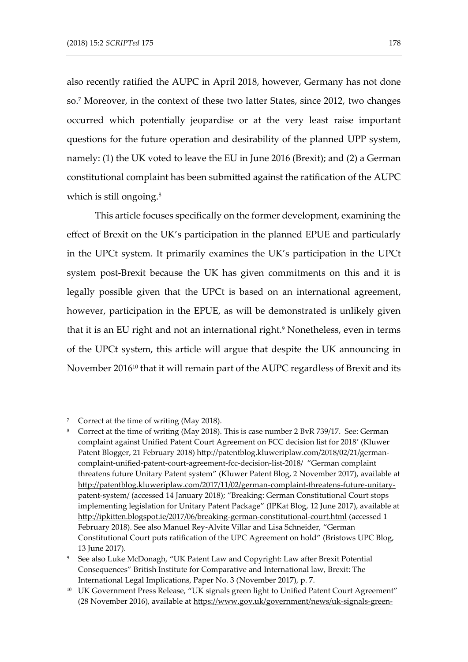also recently ratified the AUPC in April 2018, however, Germany has not done so. <sup>7</sup> Moreover, in the context of these two latter States, since 2012, two changes occurred which potentially jeopardise or at the very least raise important questions for the future operation and desirability of the planned UPP system, namely: (1) the UK voted to leave the EU in June 2016 (Brexit); and (2) a German constitutional complaint has been submitted against the ratification of the AUPC which is still ongoing. 8

This article focuses specifically on the former development, examining the effect of Brexit on the UK's participation in the planned EPUE and particularly in the UPCt system. It primarily examines the UK's participation in the UPCt system post-Brexit because the UK has given commitments on this and it is legally possible given that the UPCt is based on an international agreement, however, participation in the EPUE, as will be demonstrated is unlikely given that it is an EU right and not an international right. <sup>9</sup> Nonetheless, even in terms of the UPCt system, this article will argue that despite the UK announcing in November 2016<sup>10</sup> that it will remain part of the AUPC regardless of Brexit and its

Correct at the time of writing (May 2018).

 $\rm{^{8}~}~$  Correct at the time of writing (May 2018). This is case number 2 BvR 739/17. See: German complaint against Unified Patent Court Agreement on FCC decision list for 2018' (Kluwer Patent Blogger, 21 February 2018) http://patentblog.kluweriplaw.com/2018/02/21/germancomplaint-unified-patent-court-agreement-fcc-decision-list-2018/ "German complaint threatens future Unitary Patent system" (Kluwer Patent Blog, 2 November 2017), available at [http://patentblog.kluweriplaw.com/2017/11/02/german-complaint-threatens-future-unitary](http://patentblog.kluweriplaw.com/2017/11/02/german-complaint-threatens-future-unitary-patent-system/)[patent-system/](http://patentblog.kluweriplaw.com/2017/11/02/german-complaint-threatens-future-unitary-patent-system/) (accessed 14 January 2018); "Breaking: German Constitutional Court stops implementing legislation for Unitary Patent Package" (IPKat Blog, 12 June 2017), available at <http://ipkitten.blogspot.ie/2017/06/breaking-german-constitutional-court.html> (accessed 1 February 2018). See also Manuel Rey-Alvite Villar and Lisa Schneider, "German Constitutional Court puts ratification of the UPC Agreement on hold" (Bristows UPC Blog, 13 June 2017).

<sup>9</sup> See also Luke McDonagh, "UK Patent Law and Copyright: Law after Brexit Potential Consequences" British Institute for Comparative and International law, Brexit: The International Legal Implications, Paper No. 3 (November 2017), p. 7.

<sup>&</sup>lt;sup>10</sup> UK Government Press Release, "UK signals green light to Unified Patent Court Agreement" (28 November 2016), available at [https://www.gov.uk/government/news/uk-signals-green-](https://www.gov.uk/government/news/uk-signals-green-light-to-unified-patent-court-agreement)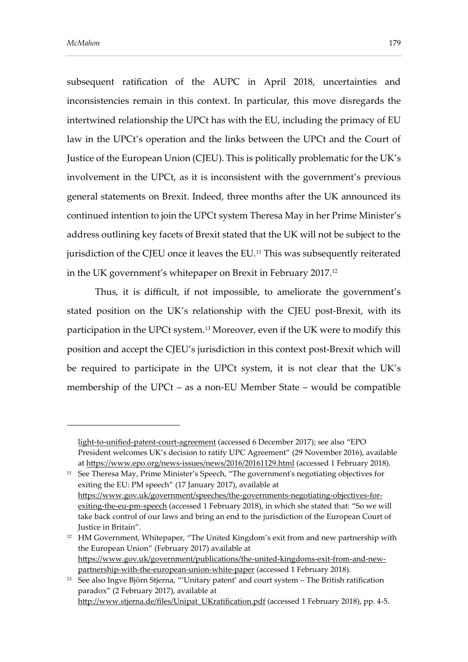subsequent ratification of the AUPC in April 2018, uncertainties and inconsistencies remain in this context. In particular, this move disregards the intertwined relationship the UPCt has with the EU, including the primacy of EU law in the UPCt's operation and the links between the UPCt and the Court of Justice of the European Union (CJEU). This is politically problematic for the UK's involvement in the UPCt, as it is inconsistent with the government's previous general statements on Brexit. Indeed, three months after the UK announced its continued intention to join the UPCt system Theresa May in her Prime Minister's address outlining key facets of Brexit stated that the UK will not be subject to the jurisdiction of the CJEU once it leaves the EU.<sup>11</sup> This was subsequently reiterated in the UK government's whitepaper on Brexit in February 2017. 12

Thus, it is difficult, if not impossible, to ameliorate the government's stated position on the UK's relationship with the CJEU post-Brexit, with its participation in the UPCt system.<sup>13</sup> Moreover, even if the UK were to modify this position and accept the CJEU's jurisdiction in this context post-Brexit which will be required to participate in the UPCt system, it is not clear that the UK's membership of the UPCt – as a non-EU Member State – would be compatible

<sup>11</sup> See Theresa May, Prime Minister's Speech, "The government's negotiating objectives for exiting the EU: PM speech" (17 January 2017), available at [https://www.gov.uk/government/speeches/the-governments-negotiating-objectives-for](https://www.gov.uk/government/speeches/the-governments-negotiating-objectives-for-exiting-the-eu-pm-speech)[exiting-the-eu-pm-speech](https://www.gov.uk/government/speeches/the-governments-negotiating-objectives-for-exiting-the-eu-pm-speech) (accessed 1 February 2018), in which she stated that: "So we will take back control of our laws and bring an end to the jurisdiction of the European Court of Justice in Britain".

<sup>12</sup> HM Government, Whitepaper, "The United Kingdom's exit from and new partnership with the European Union" (February 2017) available at [https://www.gov.uk/government/publications/the-united-kingdoms-exit-from-and-new](https://www.gov.uk/government/publications/the-united-kingdoms-exit-from-and-new-partnership-with-the-european-union-white-paper)[partnership-with-the-european-union-white-paper](https://www.gov.uk/government/publications/the-united-kingdoms-exit-from-and-new-partnership-with-the-european-union-white-paper) (accessed 1 February 2018).

http://www.stjerna.de/files/Unipat\_UKratification.pdf (accessed 1 February 2018), pp. 4-5.

[light-to-unified-patent-court-agreement](https://www.gov.uk/government/news/uk-signals-green-light-to-unified-patent-court-agreement) (accessed 6 December 2017); see also "EPO President welcomes UK's decision to ratify UPC Agreement" (29 November 2016), available at<https://www.epo.org/news-issues/news/2016/20161129.html> (accessed 1 February 2018).

<sup>&</sup>lt;sup>13</sup> See also Ingve Björn Stjerna, "'Unitary patent' and court system - The British ratification paradox" (2 February 2017), available at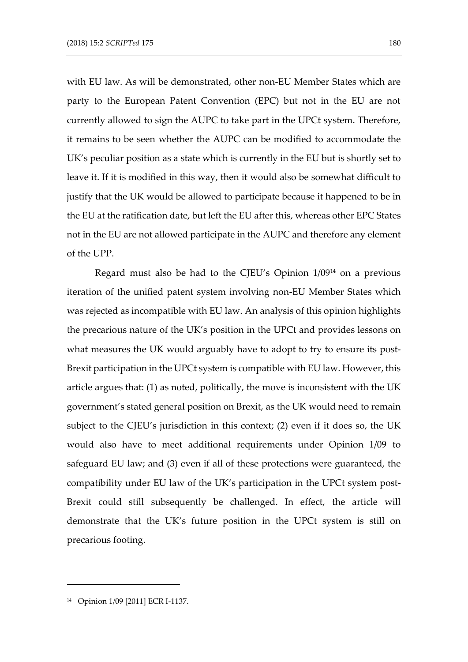with EU law. As will be demonstrated, other non-EU Member States which are party to the European Patent Convention (EPC) but not in the EU are not currently allowed to sign the AUPC to take part in the UPCt system. Therefore, it remains to be seen whether the AUPC can be modified to accommodate the UK's peculiar position as a state which is currently in the EU but is shortly set to leave it. If it is modified in this way, then it would also be somewhat difficult to justify that the UK would be allowed to participate because it happened to be in the EU at the ratification date, but left the EU after this, whereas other EPC States not in the EU are not allowed participate in the AUPC and therefore any element of the UPP.

Regard must also be had to the CJEU's Opinion 1/09<sup>14</sup> on a previous iteration of the unified patent system involving non-EU Member States which was rejected as incompatible with EU law. An analysis of this opinion highlights the precarious nature of the UK's position in the UPCt and provides lessons on what measures the UK would arguably have to adopt to try to ensure its post-Brexit participation in the UPCt system is compatible with EU law. However, this article argues that: (1) as noted, politically, the move is inconsistent with the UK government's stated general position on Brexit, as the UK would need to remain subject to the CJEU's jurisdiction in this context; (2) even if it does so, the UK would also have to meet additional requirements under Opinion 1/09 to safeguard EU law; and (3) even if all of these protections were guaranteed, the compatibility under EU law of the UK's participation in the UPCt system post-Brexit could still subsequently be challenged. In effect, the article will demonstrate that the UK's future position in the UPCt system is still on precarious footing.

<sup>14</sup> Opinion 1/09 [2011] ECR I-1137.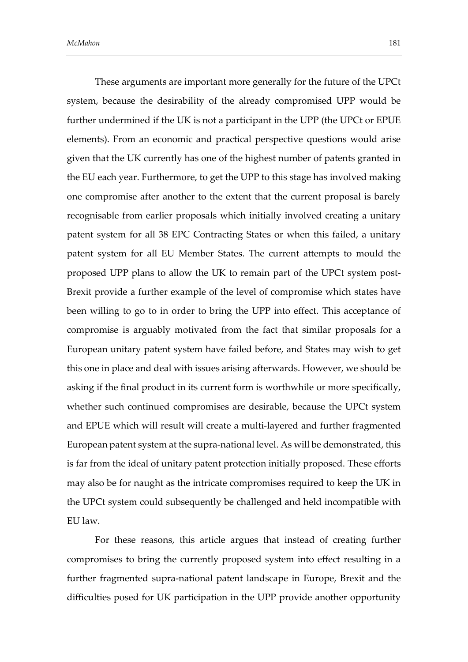These arguments are important more generally for the future of the UPCt system, because the desirability of the already compromised UPP would be further undermined if the UK is not a participant in the UPP (the UPCt or EPUE elements). From an economic and practical perspective questions would arise given that the UK currently has one of the highest number of patents granted in the EU each year. Furthermore, to get the UPP to this stage has involved making one compromise after another to the extent that the current proposal is barely recognisable from earlier proposals which initially involved creating a unitary patent system for all 38 EPC Contracting States or when this failed, a unitary patent system for all EU Member States. The current attempts to mould the proposed UPP plans to allow the UK to remain part of the UPCt system post-Brexit provide a further example of the level of compromise which states have been willing to go to in order to bring the UPP into effect. This acceptance of compromise is arguably motivated from the fact that similar proposals for a European unitary patent system have failed before, and States may wish to get this one in place and deal with issues arising afterwards. However, we should be asking if the final product in its current form is worthwhile or more specifically, whether such continued compromises are desirable, because the UPCt system and EPUE which will result will create a multi-layered and further fragmented European patent system at the supra-national level. As will be demonstrated, this is far from the ideal of unitary patent protection initially proposed. These efforts may also be for naught as the intricate compromises required to keep the UK in the UPCt system could subsequently be challenged and held incompatible with EU law.

For these reasons, this article argues that instead of creating further compromises to bring the currently proposed system into effect resulting in a further fragmented supra-national patent landscape in Europe, Brexit and the difficulties posed for UK participation in the UPP provide another opportunity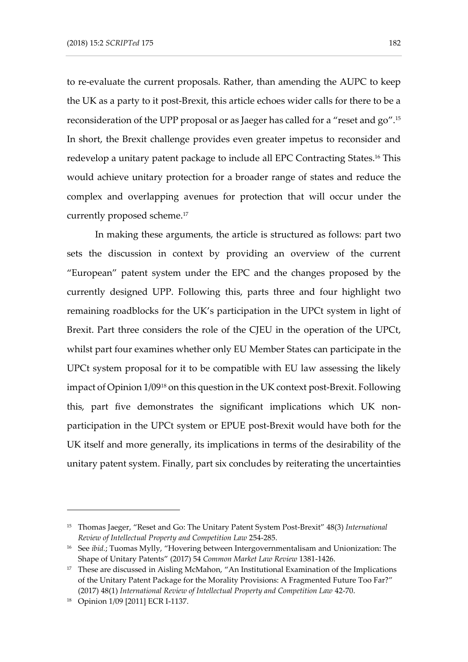to re-evaluate the current proposals. Rather, than amending the AUPC to keep the UK as a party to it post-Brexit, this article echoes wider calls for there to be a reconsideration of the UPP proposal or as Jaeger has called for a "reset and go". 15 In short, the Brexit challenge provides even greater impetus to reconsider and redevelop a unitary patent package to include all EPC Contracting States. <sup>16</sup> This would achieve unitary protection for a broader range of states and reduce the complex and overlapping avenues for protection that will occur under the currently proposed scheme. 17

In making these arguments, the article is structured as follows: part two sets the discussion in context by providing an overview of the current "European" patent system under the EPC and the changes proposed by the currently designed UPP. Following this, parts three and four highlight two remaining roadblocks for the UK's participation in the UPCt system in light of Brexit. Part three considers the role of the CJEU in the operation of the UPCt, whilst part four examines whether only EU Member States can participate in the UPCt system proposal for it to be compatible with EU law assessing the likely impact of Opinion 1/09<sup>18</sup> on this question in the UK context post-Brexit. Following this, part five demonstrates the significant implications which UK nonparticipation in the UPCt system or EPUE post-Brexit would have both for the UK itself and more generally, its implications in terms of the desirability of the unitary patent system. Finally, part six concludes by reiterating the uncertainties

<sup>15</sup> Thomas Jaeger, "Reset and Go: The Unitary Patent System Post-Brexit" 48(3) *International Review of Intellectual Property and Competition Law* 254-285.

<sup>16</sup> See *ibid.*; Tuomas Mylly, "Hovering between Intergovernmentalisam and Unionization: The Shape of Unitary Patents" (2017) 54 *Common Market Law Review* 1381-1426.

<sup>&</sup>lt;sup>17</sup> These are discussed in Aisling McMahon, "An Institutional Examination of the Implications of the Unitary Patent Package for the Morality Provisions: A Fragmented Future Too Far?" (2017) 48(1) *International Review of Intellectual Property and Competition Law* 42-70.

<sup>18</sup> Opinion 1/09 [2011] ECR I-1137.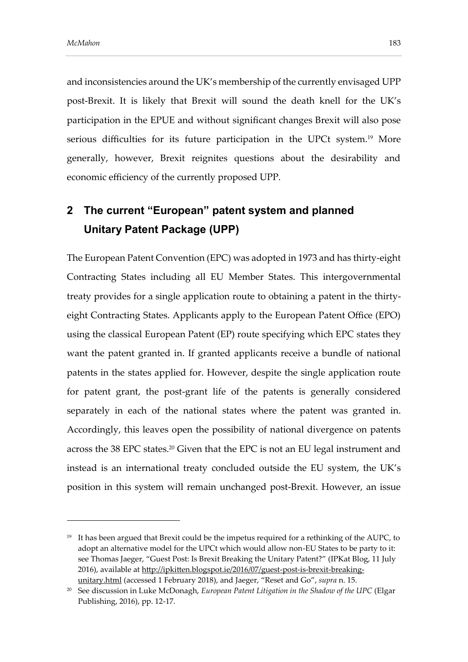and inconsistencies around the UK's membership of the currently envisaged UPP post-Brexit. It is likely that Brexit will sound the death knell for the UK's participation in the EPUE and without significant changes Brexit will also pose serious difficulties for its future participation in the UPCt system. <sup>19</sup> More generally, however, Brexit reignites questions about the desirability and economic efficiency of the currently proposed UPP.

## **2 The current "European" patent system and planned Unitary Patent Package (UPP)**

The European Patent Convention (EPC) was adopted in 1973 and has thirty-eight Contracting States including all EU Member States. This intergovernmental treaty provides for a single application route to obtaining a patent in the thirtyeight Contracting States. Applicants apply to the European Patent Office (EPO) using the classical European Patent (EP) route specifying which EPC states they want the patent granted in. If granted applicants receive a bundle of national patents in the states applied for. However, despite the single application route for patent grant, the post-grant life of the patents is generally considered separately in each of the national states where the patent was granted in. Accordingly, this leaves open the possibility of national divergence on patents across the 38 EPC states. <sup>20</sup> Given that the EPC is not an EU legal instrument and instead is an international treaty concluded outside the EU system, the UK's position in this system will remain unchanged post-Brexit. However, an issue

 $19$  It has been argued that Brexit could be the impetus required for a rethinking of the AUPC, to adopt an alternative model for the UPCt which would allow non-EU States to be party to it: see Thomas Jaeger, "Guest Post: Is Brexit Breaking the Unitary Patent?" (IPKat Blog, 11 July 2016), available at [http://ipkitten.blogspot.ie/2016/07/guest-post-is-brexit-breaking-](http://ipkitten.blogspot.ie/2016/07/guest-post-is-brexit-breaking-unitary.html)

[unitary.html](http://ipkitten.blogspot.ie/2016/07/guest-post-is-brexit-breaking-unitary.html) (accessed 1 February 2018), and Jaeger, "Reset and Go", *supra* n. 15.

<sup>20</sup> See discussion in Luke McDonagh, *European Patent Litigation in the Shadow of the UPC* (Elgar Publishing, 2016), pp. 12-17.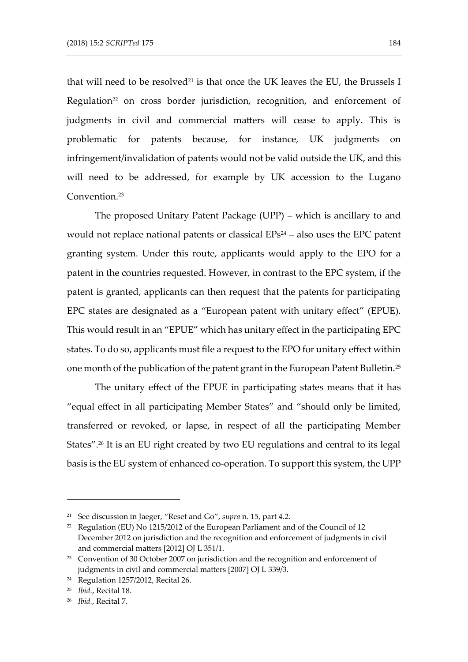that will need to be resolved<sup>21</sup> is that once the UK leaves the EU, the Brussels I Regulation<sup>22</sup> on cross border jurisdiction, recognition, and enforcement of judgments in civil and commercial matters will cease to apply. This is problematic for patents because, for instance, UK judgments on infringement/invalidation of patents would not be valid outside the UK, and this will need to be addressed, for example by UK accession to the Lugano Convention. 23

The proposed Unitary Patent Package (UPP) – which is ancillary to and would not replace national patents or classical  $EPs<sup>24</sup> - also$  uses the  $EPC$  patent granting system. Under this route, applicants would apply to the EPO for a patent in the countries requested. However, in contrast to the EPC system, if the patent is granted, applicants can then request that the patents for participating EPC states are designated as a "European patent with unitary effect" (EPUE). This would result in an "EPUE" which has unitary effect in the participating EPC states. To do so, applicants must file a request to the EPO for unitary effect within one month of the publication of the patent grant in the European Patent Bulletin.<sup>25</sup>

The unitary effect of the EPUE in participating states means that it has "equal effect in all participating Member States" and "should only be limited, transferred or revoked, or lapse, in respect of all the participating Member States". <sup>26</sup> It is an EU right created by two EU regulations and central to its legal basis is the EU system of enhanced co-operation. To support this system, the UPP

<sup>21</sup> See discussion in Jaeger, "Reset and Go", *supra* n. 15, part 4.2.

<sup>22</sup> Regulation (EU) No 1215/2012 of the European Parliament and of the Council of 12 December 2012 on jurisdiction and the recognition and enforcement of judgments in civil and commercial matters [2012] OJ L 351/1.

<sup>&</sup>lt;sup>23</sup> Convention of 30 October 2007 on jurisdiction and the recognition and enforcement of judgments in civil and commercial matters [2007] OJ L 339/3.

<sup>24</sup> Regulation 1257/2012, Recital 26.

<sup>25</sup> *Ibid.*, Recital 18.

<sup>26</sup> *Ibid.*, Recital 7.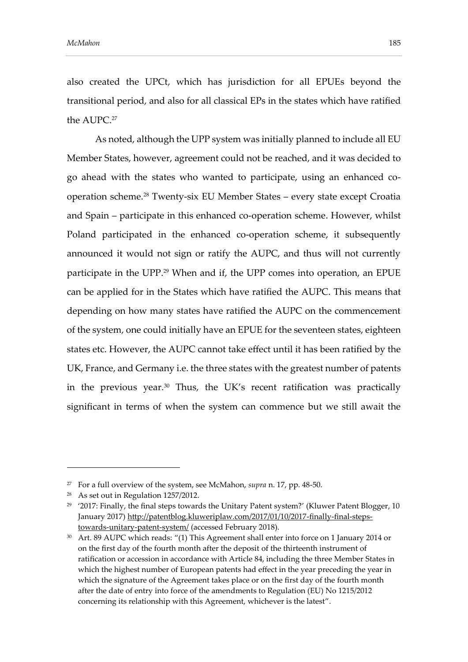also created the UPCt, which has jurisdiction for all EPUEs beyond the transitional period, and also for all classical EPs in the states which have ratified the AUPC. 27

As noted, although the UPP system was initially planned to include all EU Member States, however, agreement could not be reached, and it was decided to go ahead with the states who wanted to participate, using an enhanced cooperation scheme.<sup>28</sup> Twenty-six EU Member States – every state except Croatia and Spain – participate in this enhanced co-operation scheme. However, whilst Poland participated in the enhanced co-operation scheme, it subsequently announced it would not sign or ratify the AUPC, and thus will not currently participate in the UPP. <sup>29</sup> When and if, the UPP comes into operation, an EPUE can be applied for in the States which have ratified the AUPC. This means that depending on how many states have ratified the AUPC on the commencement of the system, one could initially have an EPUE for the seventeen states, eighteen states etc. However, the AUPC cannot take effect until it has been ratified by the UK, France, and Germany i.e. the three states with the greatest number of patents in the previous year.<sup>30</sup> Thus, the UK's recent ratification was practically significant in terms of when the system can commence but we still await the

<sup>27</sup> For a full overview of the system, see McMahon, *supra* n. 17, pp. 48-50.

<sup>28</sup> As set out in Regulation 1257/2012.

 $^{29}$   $\,$   $^{\prime}2017$ : Finally, the final steps towards the Unitary Patent system?' (Kluwer Patent Blogger, 10  $\,$ January 2017) [http://patentblog.kluweriplaw.com/2017/01/10/2017-finally-final-steps](http://patentblog.kluweriplaw.com/2017/01/10/2017-finally-final-steps-towards-unitary-patent-system/)[towards-unitary-patent-system/](http://patentblog.kluweriplaw.com/2017/01/10/2017-finally-final-steps-towards-unitary-patent-system/) (accessed February 2018).

<sup>30</sup> Art. 89 AUPC which reads: "(1) This Agreement shall enter into force on 1 January 2014 or on the first day of the fourth month after the deposit of the thirteenth instrument of ratification or accession in accordance with Article 84, including the three Member States in which the highest number of European patents had effect in the year preceding the year in which the signature of the Agreement takes place or on the first day of the fourth month after the date of entry into force of the amendments to Regulation (EU) No 1215/2012 concerning its relationship with this Agreement, whichever is the latest".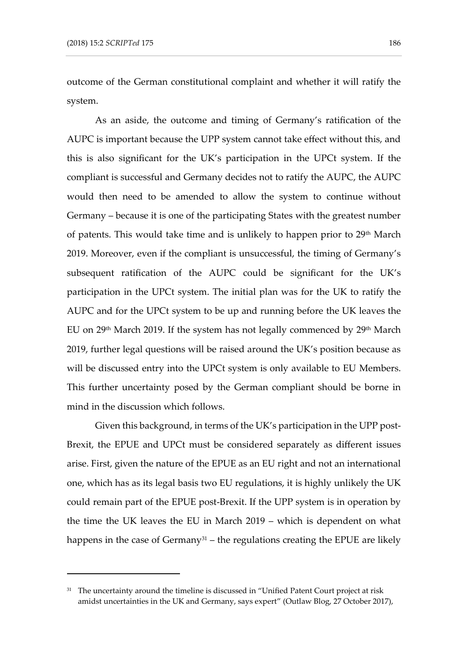outcome of the German constitutional complaint and whether it will ratify the system.

As an aside, the outcome and timing of Germany's ratification of the AUPC is important because the UPP system cannot take effect without this, and this is also significant for the UK's participation in the UPCt system. If the compliant is successful and Germany decides not to ratify the AUPC, the AUPC would then need to be amended to allow the system to continue without Germany – because it is one of the participating States with the greatest number of patents. This would take time and is unlikely to happen prior to 29<sup>th</sup> March 2019. Moreover, even if the compliant is unsuccessful, the timing of Germany's subsequent ratification of the AUPC could be significant for the UK's participation in the UPCt system. The initial plan was for the UK to ratify the AUPC and for the UPCt system to be up and running before the UK leaves the EU on 29<sup>th</sup> March 2019. If the system has not legally commenced by 29<sup>th</sup> March 2019, further legal questions will be raised around the UK's position because as will be discussed entry into the UPCt system is only available to EU Members. This further uncertainty posed by the German compliant should be borne in mind in the discussion which follows.

Given this background, in terms of the UK's participation in the UPP post-Brexit, the EPUE and UPCt must be considered separately as different issues arise. First, given the nature of the EPUE as an EU right and not an international one, which has as its legal basis two EU regulations, it is highly unlikely the UK could remain part of the EPUE post-Brexit. If the UPP system is in operation by the time the UK leaves the EU in March 2019 – which is dependent on what happens in the case of Germany<sup>31</sup> – the regulations creating the EPUE are likely

<sup>&</sup>lt;sup>31</sup> The uncertainty around the timeline is discussed in "Unified Patent Court project at risk amidst uncertainties in the UK and Germany, says expert" (Outlaw Blog, 27 October 2017),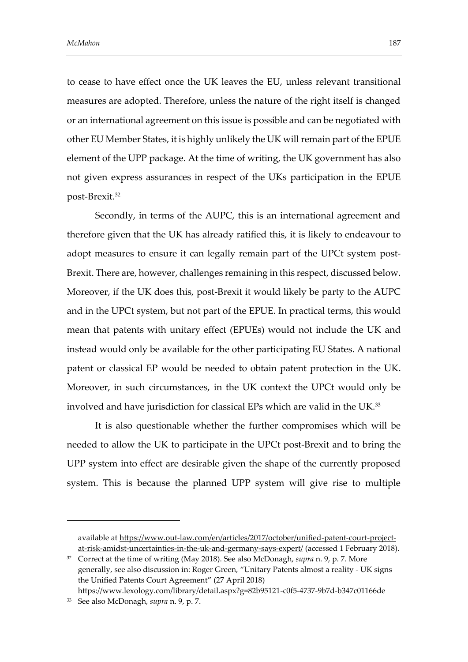to cease to have effect once the UK leaves the EU, unless relevant transitional measures are adopted. Therefore, unless the nature of the right itself is changed or an international agreement on this issue is possible and can be negotiated with other EU Member States, it is highly unlikely the UK will remain part of the EPUE element of the UPP package. At the time of writing, the UK government has also not given express assurances in respect of the UKs participation in the EPUE post-Brexit.<sup>32</sup>

Secondly, in terms of the AUPC, this is an international agreement and therefore given that the UK has already ratified this, it is likely to endeavour to adopt measures to ensure it can legally remain part of the UPCt system post-Brexit. There are, however, challenges remaining in this respect, discussed below. Moreover, if the UK does this, post-Brexit it would likely be party to the AUPC and in the UPCt system, but not part of the EPUE. In practical terms, this would mean that patents with unitary effect (EPUEs) would not include the UK and instead would only be available for the other participating EU States. A national patent or classical EP would be needed to obtain patent protection in the UK. Moreover, in such circumstances, in the UK context the UPCt would only be involved and have jurisdiction for classical EPs which are valid in the UK.<sup>33</sup>

It is also questionable whether the further compromises which will be needed to allow the UK to participate in the UPCt post-Brexit and to bring the UPP system into effect are desirable given the shape of the currently proposed system. This is because the planned UPP system will give rise to multiple

available at [https://www.out-law.com/en/articles/2017/october/unified-patent-court-project](https://www.out-law.com/en/articles/2017/october/unified-patent-court-project-at-risk-amidst-uncertainties-in-the-uk-and-germany-says-expert/)[at-risk-amidst-uncertainties-in-the-uk-and-germany-says-expert/](https://www.out-law.com/en/articles/2017/october/unified-patent-court-project-at-risk-amidst-uncertainties-in-the-uk-and-germany-says-expert/) (accessed 1 February 2018).

<sup>32</sup> Correct at the time of writing (May 2018). See also McDonagh, *supra* n. 9, p. 7. More generally, see also discussion in: Roger Green, "Unitary Patents almost a reality - UK signs the Unified Patents Court Agreement" (27 April 2018)

https://www.lexology.com/library/detail.aspx?g=82b95121-c0f5-4737-9b7d-b347c01166de

<sup>33</sup> See also McDonagh, *supra* n. 9, p. 7.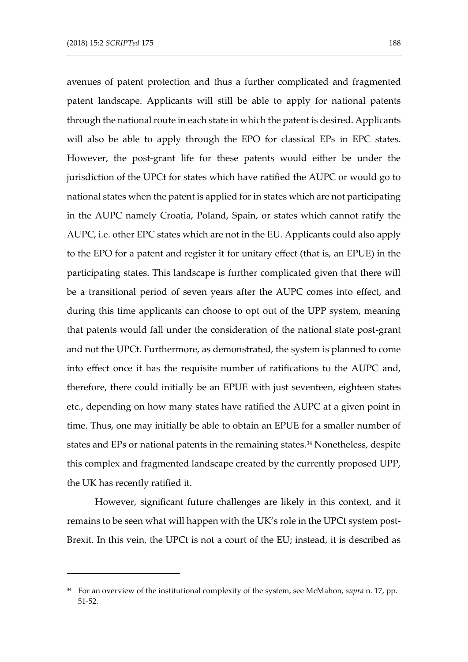avenues of patent protection and thus a further complicated and fragmented patent landscape. Applicants will still be able to apply for national patents through the national route in each state in which the patent is desired. Applicants will also be able to apply through the EPO for classical EPs in EPC states. However, the post-grant life for these patents would either be under the jurisdiction of the UPCt for states which have ratified the AUPC or would go to national states when the patent is applied for in states which are not participating in the AUPC namely Croatia, Poland, Spain, or states which cannot ratify the AUPC, i.e. other EPC states which are not in the EU. Applicants could also apply to the EPO for a patent and register it for unitary effect (that is, an EPUE) in the participating states. This landscape is further complicated given that there will be a transitional period of seven years after the AUPC comes into effect, and during this time applicants can choose to opt out of the UPP system, meaning that patents would fall under the consideration of the national state post-grant and not the UPCt. Furthermore, as demonstrated, the system is planned to come into effect once it has the requisite number of ratifications to the AUPC and, therefore, there could initially be an EPUE with just seventeen, eighteen states etc., depending on how many states have ratified the AUPC at a given point in time. Thus, one may initially be able to obtain an EPUE for a smaller number of states and EPs or national patents in the remaining states.<sup>34</sup> Nonetheless, despite this complex and fragmented landscape created by the currently proposed UPP, the UK has recently ratified it.

However, significant future challenges are likely in this context, and it remains to be seen what will happen with the UK's role in the UPCt system post-Brexit. In this vein, the UPCt is not a court of the EU; instead, it is described as

<sup>34</sup> For an overview of the institutional complexity of the system, see McMahon, *supra* n. 17, pp. 51-52.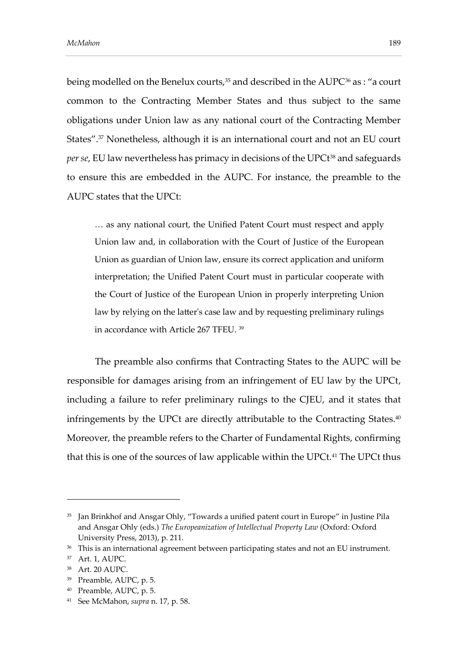being modelled on the Benelux courts,<sup>35</sup> and described in the AUPC<sup>36</sup> as : "a court common to the Contracting Member States and thus subject to the same obligations under Union law as any national court of the Contracting Member States". <sup>37</sup> Nonetheless, although it is an international court and not an EU court *per se*, EU law nevertheless has primacy in decisions of the UPCt<sup>38</sup> and safeguards to ensure this are embedded in the AUPC. For instance, the preamble to the AUPC states that the UPCt:

… as any national court, the Unified Patent Court must respect and apply Union law and, in collaboration with the Court of Justice of the European Union as guardian of Union law, ensure its correct application and uniform interpretation; the Unified Patent Court must in particular cooperate with the Court of Justice of the European Union in properly interpreting Union law by relying on the latter's case law and by requesting preliminary rulings in accordance with Article 267 TFEU. <sup>39</sup>

The preamble also confirms that Contracting States to the AUPC will be responsible for damages arising from an infringement of EU law by the UPCt, including a failure to refer preliminary rulings to the CJEU, and it states that infringements by the UPCt are directly attributable to the Contracting States.<sup>40</sup> Moreover, the preamble refers to the Charter of Fundamental Rights, confirming that this is one of the sources of law applicable within the UPCt.<sup>41</sup> The UPCt thus

-

<sup>40</sup> Preamble, AUPC, p. 5.

<sup>&</sup>lt;sup>35</sup> Jan Brinkhof and Ansgar Ohly, "Towards a unified patent court in Europe" in Justine Pila and Ansgar Ohly (eds.) *The Europeanization of Intellectual Property Law* (Oxford: Oxford University Press, 2013), p. 211.

<sup>&</sup>lt;sup>36</sup> This is an international agreement between participating states and not an EU instrument.

<sup>37</sup> Art. 1, AUPC.

<sup>38</sup> Art. 20 AUPC.

<sup>39</sup> Preamble, AUPC, p. 5.

<sup>41</sup> See McMahon, *supra* n. 17, p. 58.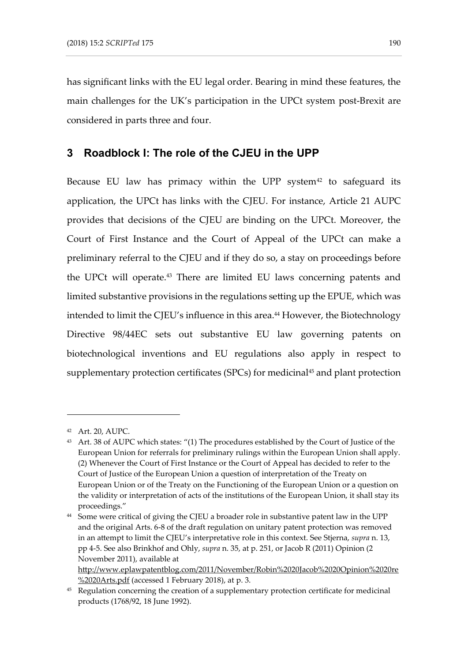has significant links with the EU legal order. Bearing in mind these features, the main challenges for the UK's participation in the UPCt system post-Brexit are considered in parts three and four.

### **3 Roadblock I: The role of the CJEU in the UPP**

Because EU law has primacy within the UPP system $42$  to safeguard its application, the UPCt has links with the CJEU. For instance, Article 21 AUPC provides that decisions of the CJEU are binding on the UPCt. Moreover, the Court of First Instance and the Court of Appeal of the UPCt can make a preliminary referral to the CJEU and if they do so, a stay on proceedings before the UPCt will operate.<sup>43</sup> There are limited EU laws concerning patents and limited substantive provisions in the regulations setting up the EPUE, which was intended to limit the CJEU's influence in this area.<sup>44</sup> However, the Biotechnology Directive 98/44EC sets out substantive EU law governing patents on biotechnological inventions and EU regulations also apply in respect to supplementary protection certificates (SPCs) for medicinal<sup>45</sup> and plant protection

-

http://www.eplawpatentblog.com/2011/November/Robin%2020Jacob%2020Opinion%2020re %2020Arts.pdf (accessed 1 February 2018), at p. 3.

<sup>42</sup> Art. 20, AUPC.

<sup>43</sup> Art. 38 of AUPC which states: "(1) The procedures established by the Court of Justice of the European Union for referrals for preliminary rulings within the European Union shall apply. (2) Whenever the Court of First Instance or the Court of Appeal has decided to refer to the Court of Justice of the European Union a question of interpretation of the Treaty on European Union or of the Treaty on the Functioning of the European Union or a question on the validity or interpretation of acts of the institutions of the European Union, it shall stay its proceedings."

<sup>&</sup>lt;sup>44</sup> Some were critical of giving the CJEU a broader role in substantive patent law in the UPP and the original Arts. 6-8 of the draft regulation on unitary patent protection was removed in an attempt to limit the CJEU's interpretative role in this context. See Stjerna, *supra* n. 13, pp 4-5. See also Brinkhof and Ohly, *supra* n. 35, at p. 251, or Jacob R (2011) Opinion (2 November 2011), available at

<sup>&</sup>lt;sup>45</sup> Regulation concerning the creation of a supplementary protection certificate for medicinal products (1768/92, 18 June 1992).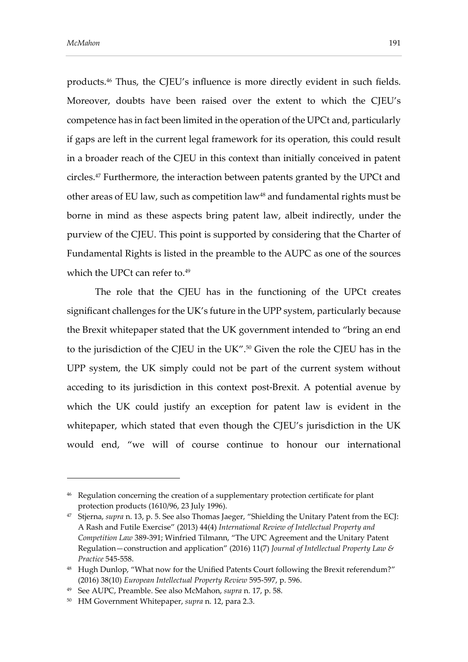products.<sup>46</sup> Thus, the CJEU's influence is more directly evident in such fields. Moreover, doubts have been raised over the extent to which the CJEU's competence has in fact been limited in the operation of the UPCt and, particularly if gaps are left in the current legal framework for its operation, this could result in a broader reach of the CJEU in this context than initially conceived in patent circles.<sup>47</sup> Furthermore, the interaction between patents granted by the UPCt and other areas of EU law, such as competition law<sup>48</sup> and fundamental rights must be borne in mind as these aspects bring patent law, albeit indirectly, under the purview of the CJEU. This point is supported by considering that the Charter of Fundamental Rights is listed in the preamble to the AUPC as one of the sources which the UPCt can refer to.<sup>49</sup>

The role that the CJEU has in the functioning of the UPCt creates significant challenges for the UK's future in the UPP system, particularly because the Brexit whitepaper stated that the UK government intended to "bring an end to the jurisdiction of the CJEU in the UK".<sup>50</sup> Given the role the CJEU has in the UPP system, the UK simply could not be part of the current system without acceding to its jurisdiction in this context post-Brexit. A potential avenue by which the UK could justify an exception for patent law is evident in the whitepaper, which stated that even though the CJEU's jurisdiction in the UK would end, "we will of course continue to honour our international

<sup>&</sup>lt;sup>46</sup> Regulation concerning the creation of a supplementary protection certificate for plant protection products (1610/96, 23 July 1996).

<sup>47</sup> Stjerna, *supra* n. 13, p. 5. See also Thomas Jaeger, "Shielding the Unitary Patent from the ECJ: A Rash and Futile Exercise" (2013) 44(4) *International Review of Intellectual Property and Competition Law* 389-391; Winfried Tilmann, "The UPC Agreement and the Unitary Patent Regulation—construction and application" (2016) 11(7) *Journal of Intellectual Property Law & Practice* 545-558.

<sup>&</sup>lt;sup>48</sup> Hugh Dunlop, "What now for the Unified Patents Court following the Brexit referendum?" (2016) 38(10) *European Intellectual Property Review* 595-597, p. 596.

<sup>49</sup> See AUPC, Preamble. See also McMahon, *supra* n. 17, p. 58.

<sup>50</sup> HM Government Whitepaper, *supra* n. 12, para 2.3.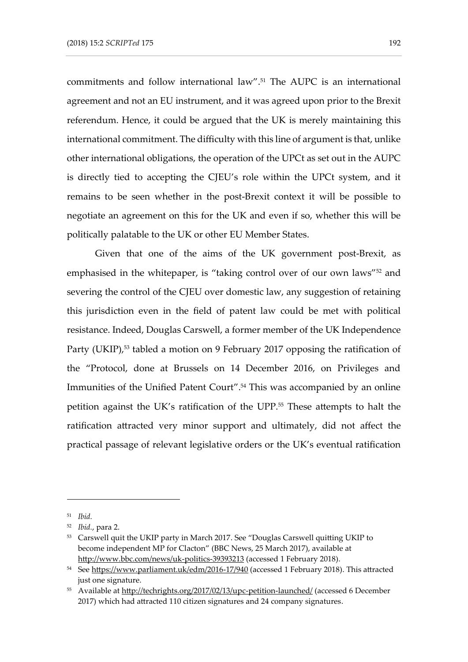commitments and follow international law". <sup>51</sup> The AUPC is an international agreement and not an EU instrument, and it was agreed upon prior to the Brexit referendum. Hence, it could be argued that the UK is merely maintaining this international commitment. The difficulty with this line of argument is that, unlike other international obligations, the operation of the UPCt as set out in the AUPC is directly tied to accepting the CJEU's role within the UPCt system, and it remains to be seen whether in the post-Brexit context it will be possible to negotiate an agreement on this for the UK and even if so, whether this will be politically palatable to the UK or other EU Member States.

Given that one of the aims of the UK government post-Brexit, as emphasised in the whitepaper, is "taking control over of our own laws" <sup>52</sup> and severing the control of the CJEU over domestic law, any suggestion of retaining this jurisdiction even in the field of patent law could be met with political resistance. Indeed, Douglas Carswell, a former member of the UK Independence Party (UKIP),<sup>53</sup> tabled a motion on 9 February 2017 opposing the ratification of the "Protocol, done at Brussels on 14 December 2016, on Privileges and Immunities of the Unified Patent Court". <sup>54</sup> This was accompanied by an online petition against the UK's ratification of the UPP.<sup>55</sup> These attempts to halt the ratification attracted very minor support and ultimately, did not affect the practical passage of relevant legislative orders or the UK's eventual ratification

<sup>51</sup> *Ibid.*

<sup>52</sup> *Ibid.*, para 2.

<sup>53</sup> Carswell quit the UKIP party in March 2017. See "Douglas Carswell quitting UKIP to become independent MP for Clacton" (BBC News, 25 March 2017), available at <http://www.bbc.com/news/uk-politics-39393213> (accessed 1 February 2018).

<sup>&</sup>lt;sup>54</sup> Se[e https://www.parliament.uk/edm/2016-17/940](https://www.parliament.uk/edm/2016-17/940) (accessed 1 February 2018). This attracted just one signature.

<sup>55</sup> Available at<http://techrights.org/2017/02/13/upc-petition-launched/> (accessed 6 December 2017) which had attracted 110 citizen signatures and 24 company signatures.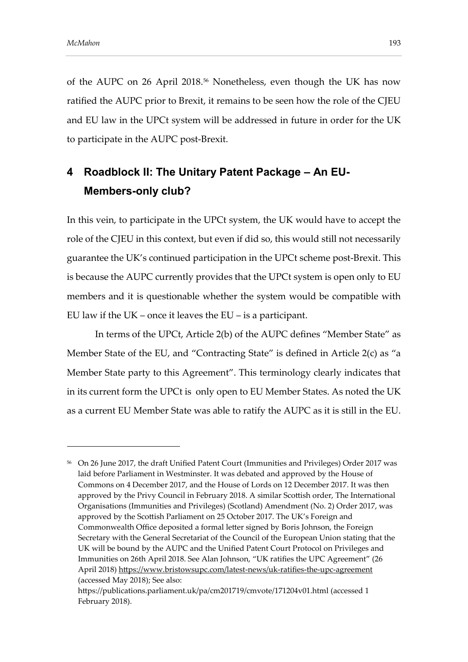of the AUPC on 26 April 2018. <sup>56</sup> Nonetheless, even though the UK has now ratified the AUPC prior to Brexit, it remains to be seen how the role of the CJEU and EU law in the UPCt system will be addressed in future in order for the UK to participate in the AUPC post-Brexit.

# **4 Roadblock II: The Unitary Patent Package – An EU-Members-only club?**

In this vein, to participate in the UPCt system, the UK would have to accept the role of the CJEU in this context, but even if did so, this would still not necessarily guarantee the UK's continued participation in the UPCt scheme post-Brexit. This is because the AUPC currently provides that the UPCt system is open only to EU members and it is questionable whether the system would be compatible with EU law if the UK – once it leaves the EU – is a participant.

In terms of the UPCt, Article 2(b) of the AUPC defines "Member State" as Member State of the EU, and "Contracting State" is defined in Article 2(c) as "a Member State party to this Agreement". This terminology clearly indicates that in its current form the UPCt is only open to EU Member States. As noted the UK as a current EU Member State was able to ratify the AUPC as it is still in the EU.

<sup>56</sup> On 26 June 2017, the draft Unified Patent Court (Immunities and Privileges) Order 2017 was laid before Parliament in Westminster. It was debated and approved by the House of Commons on 4 December 2017, and the House of Lords on 12 December 2017. It was then approved by the Privy Council in February 2018. A similar Scottish order, The International Organisations (Immunities and Privileges) (Scotland) Amendment (No. 2) Order 2017, was approved by the Scottish Parliament on 25 October 2017. The UK's Foreign and Commonwealth Office deposited a formal letter signed by Boris Johnson, the Foreign Secretary with the General Secretariat of the Council of the European Union stating that the UK will be bound by the AUPC and the Unified Patent Court Protocol on Privileges and Immunities on 26th April 2018. See Alan Johnson, "UK ratifies the UPC Agreement" (26 April 2018)<https://www.bristowsupc.com/latest-news/uk-ratifies-the-upc-agreement> (accessed May 2018); See also:

https://publications.parliament.uk/pa/cm201719/cmvote/171204v01.html (accessed 1 February 2018).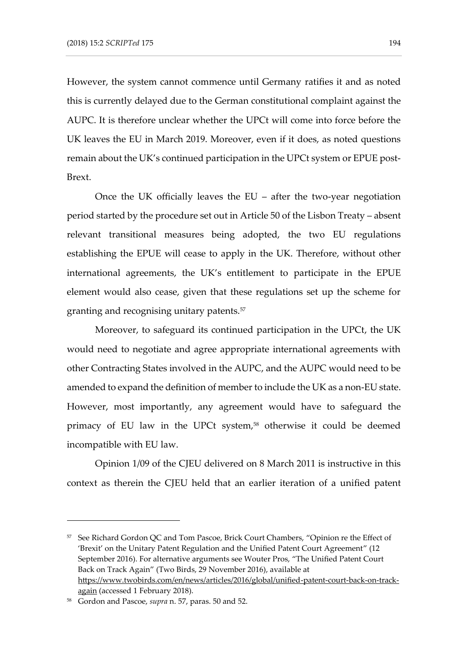However, the system cannot commence until Germany ratifies it and as noted this is currently delayed due to the German constitutional complaint against the AUPC. It is therefore unclear whether the UPCt will come into force before the UK leaves the EU in March 2019. Moreover, even if it does, as noted questions remain about the UK's continued participation in the UPCt system or EPUE post-Brext.

Once the UK officially leaves the EU – after the two-year negotiation period started by the procedure set out in Article 50 of the Lisbon Treaty – absent relevant transitional measures being adopted, the two EU regulations establishing the EPUE will cease to apply in the UK. Therefore, without other international agreements, the UK's entitlement to participate in the EPUE element would also cease, given that these regulations set up the scheme for granting and recognising unitary patents.<sup>57</sup>

Moreover, to safeguard its continued participation in the UPCt, the UK would need to negotiate and agree appropriate international agreements with other Contracting States involved in the AUPC, and the AUPC would need to be amended to expand the definition of member to include the UK as a non-EU state. However, most importantly, any agreement would have to safeguard the primacy of EU law in the UPCt system, <sup>58</sup> otherwise it could be deemed incompatible with EU law.

Opinion 1/09 of the CJEU delivered on 8 March 2011 is instructive in this context as therein the CJEU held that an earlier iteration of a unified patent

<sup>&</sup>lt;sup>57</sup> See Richard Gordon QC and Tom Pascoe, Brick Court Chambers, "Opinion re the Effect of 'Brexit' on the Unitary Patent Regulation and the Unified Patent Court Agreement" (12 September 2016). For alternative arguments see Wouter Pros, "The Unified Patent Court Back on Track Again" (Two Birds, 29 November 2016), available at [https://www.twobirds.com/en/news/articles/2016/global/unified-patent-court-back-on-track](https://www.twobirds.com/en/news/articles/2016/global/unified-patent-court-back-on-track-again)[again](https://www.twobirds.com/en/news/articles/2016/global/unified-patent-court-back-on-track-again) (accessed 1 February 2018).

<sup>58</sup> Gordon and Pascoe, *supra* n. 57, paras. 50 and 52.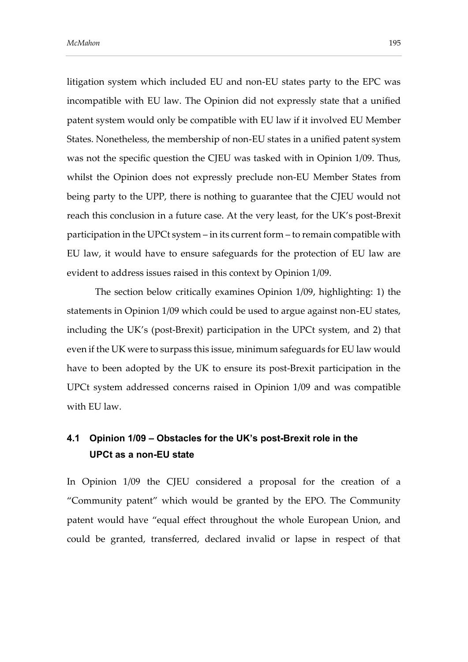litigation system which included EU and non-EU states party to the EPC was incompatible with EU law. The Opinion did not expressly state that a unified patent system would only be compatible with EU law if it involved EU Member States. Nonetheless, the membership of non-EU states in a unified patent system was not the specific question the CJEU was tasked with in Opinion 1/09. Thus, whilst the Opinion does not expressly preclude non-EU Member States from being party to the UPP, there is nothing to guarantee that the CJEU would not reach this conclusion in a future case. At the very least, for the UK's post-Brexit participation in the UPCt system – in its current form – to remain compatible with EU law, it would have to ensure safeguards for the protection of EU law are evident to address issues raised in this context by Opinion 1/09.

The section below critically examines Opinion 1/09, highlighting: 1) the statements in Opinion 1/09 which could be used to argue against non-EU states, including the UK's (post-Brexit) participation in the UPCt system, and 2) that even if the UK were to surpass this issue, minimum safeguards for EU law would have to been adopted by the UK to ensure its post-Brexit participation in the UPCt system addressed concerns raised in Opinion 1/09 and was compatible with EU law.

## **4.1 Opinion 1/09 – Obstacles for the UK's post-Brexit role in the UPCt as a non-EU state**

In Opinion 1/09 the CJEU considered a proposal for the creation of a "Community patent" which would be granted by the EPO. The Community patent would have "equal effect throughout the whole European Union, and could be granted, transferred, declared invalid or lapse in respect of that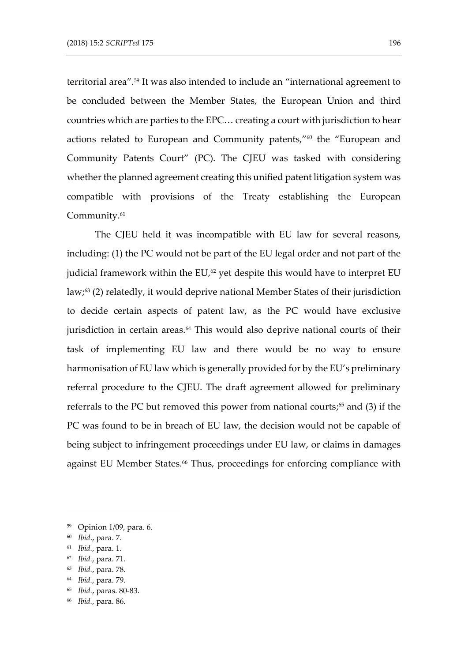territorial area".<sup>59</sup> It was also intended to include an "international agreement to be concluded between the Member States, the European Union and third countries which are parties to the EPC… creating a court with jurisdiction to hear actions related to European and Community patents," <sup>60</sup> the "European and Community Patents Court" (PC). The CJEU was tasked with considering whether the planned agreement creating this unified patent litigation system was compatible with provisions of the Treaty establishing the European Community.<sup>61</sup>

The CJEU held it was incompatible with EU law for several reasons, including: (1) the PC would not be part of the EU legal order and not part of the judicial framework within the EU,<sup>62</sup> yet despite this would have to interpret EU law; <sup>63</sup> (2) relatedly, it would deprive national Member States of their jurisdiction to decide certain aspects of patent law, as the PC would have exclusive jurisdiction in certain areas.<sup>64</sup> This would also deprive national courts of their task of implementing EU law and there would be no way to ensure harmonisation of EU law which is generally provided for by the EU's preliminary referral procedure to the CJEU. The draft agreement allowed for preliminary referrals to the PC but removed this power from national courts; <sup>65</sup> and (3) if the PC was found to be in breach of EU law, the decision would not be capable of being subject to infringement proceedings under EU law, or claims in damages against EU Member States.<sup>66</sup> Thus, proceedings for enforcing compliance with

<sup>59</sup> Opinion 1/09, para. 6.

<sup>60</sup> *Ibid*., para. 7.

<sup>61</sup> *Ibid.*, para. 1.

<sup>62</sup> *Ibid.*, para. 71.

<sup>63</sup> *Ibid.*, para. 78.

<sup>64</sup> *Ibid.*, para. 79.

<sup>65</sup> *Ibid.*, paras. 80-83.

<sup>66</sup> *Ibid.*, para. 86.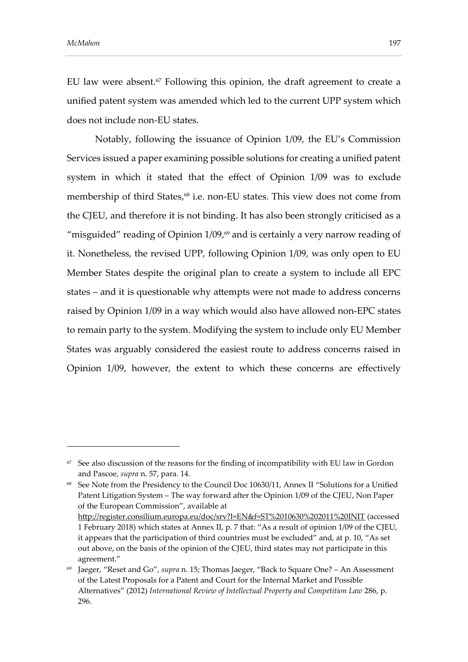agreement."

EU law were absent.<sup>67</sup> Following this opinion, the draft agreement to create a unified patent system was amended which led to the current UPP system which does not include non-EU states.

Notably, following the issuance of Opinion 1/09, the EU's Commission Services issued a paper examining possible solutions for creating a unified patent system in which it stated that the effect of Opinion 1/09 was to exclude membership of third States, <sup>68</sup> i.e. non-EU states. This view does not come from the CJEU, and therefore it is not binding. It has also been strongly criticised as a "misguided" reading of Opinion 1/09, <sup>69</sup> and is certainly a very narrow reading of it. Nonetheless, the revised UPP, following Opinion 1/09, was only open to EU Member States despite the original plan to create a system to include all EPC states – and it is questionable why attempts were not made to address concerns raised by Opinion 1/09 in a way which would also have allowed non-EPC states to remain party to the system. Modifying the system to include only EU Member States was arguably considered the easiest route to address concerns raised in Opinion 1/09, however, the extent to which these concerns are effectively

 $67$  See also discussion of the reasons for the finding of incompatibility with EU law in Gordon and Pascoe, *supra* n. 57, para. 14.

<sup>&</sup>lt;sup>68</sup> See Note from the Presidency to the Council Doc 10630/11, Annex II "Solutions for a Unified Patent Litigation System – The way forward after the Opinion 1/09 of the CJEU, Non Paper of the European Commission", available at <http://register.consilium.europa.eu/doc/srv?l=EN&f=ST%2010630%202011%20INIT> (accessed 1 February 2018) which states at Annex II, p. 7 that: "As a result of opinion 1/09 of the CJEU, it appears that the participation of third countries must be excluded" and, at p. 10, "As set out above, on the basis of the opinion of the CJEU, third states may not participate in this

<sup>69</sup> Jaeger, "Reset and Go", *supra* n. 15; Thomas Jaeger, "Back to Square One? – An Assessment of the Latest Proposals for a Patent and Court for the Internal Market and Possible Alternatives" (2012) *International Review of Intellectual Property and Competition Law* 286, p. 296.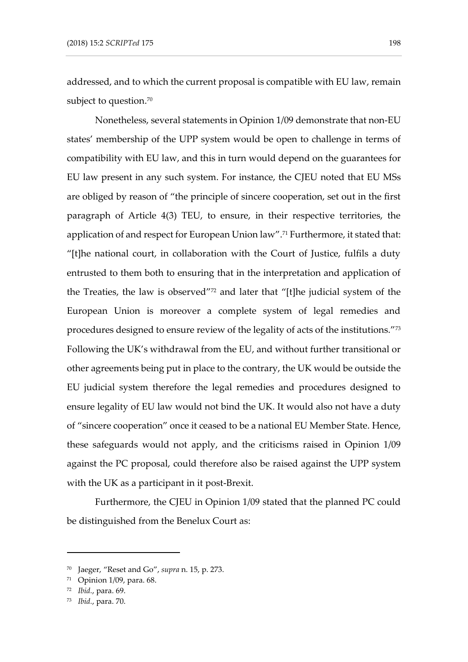addressed, and to which the current proposal is compatible with EU law, remain subject to question. $^{70}$ 

Nonetheless, several statements in Opinion 1/09 demonstrate that non-EU states' membership of the UPP system would be open to challenge in terms of compatibility with EU law, and this in turn would depend on the guarantees for EU law present in any such system. For instance, the CJEU noted that EU MSs are obliged by reason of "the principle of sincere cooperation, set out in the first paragraph of Article 4(3) TEU, to ensure, in their respective territories, the application of and respect for European Union law". <sup>71</sup> Furthermore, it stated that: "[t]he national court, in collaboration with the Court of Justice, fulfils a duty entrusted to them both to ensuring that in the interpretation and application of the Treaties, the law is observed" <sup>72</sup> and later that "[t]he judicial system of the European Union is moreover a complete system of legal remedies and procedures designed to ensure review of the legality of acts of the institutions." 73 Following the UK's withdrawal from the EU, and without further transitional or other agreements being put in place to the contrary, the UK would be outside the EU judicial system therefore the legal remedies and procedures designed to ensure legality of EU law would not bind the UK. It would also not have a duty of "sincere cooperation" once it ceased to be a national EU Member State. Hence, these safeguards would not apply, and the criticisms raised in Opinion 1/09 against the PC proposal, could therefore also be raised against the UPP system with the UK as a participant in it post-Brexit.

Furthermore, the CJEU in Opinion 1/09 stated that the planned PC could be distinguished from the Benelux Court as:

<sup>70</sup> Jaeger, "Reset and Go", *supra* n. 15, p. 273.

<sup>71</sup> Opinion 1/09, para. 68.

<sup>72</sup> *Ibid.*, para. 69.

<sup>73</sup> *Ibid.*, para. 70.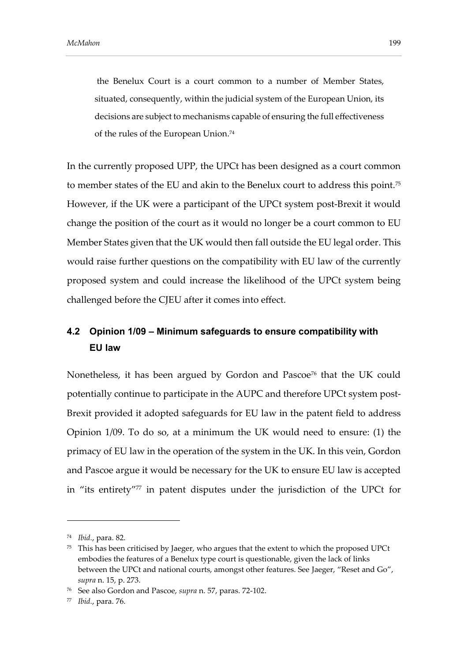the Benelux Court is a court common to a number of Member States, situated, consequently, within the judicial system of the European Union, its decisions are subject to mechanisms capable of ensuring the full effectiveness of the rules of the European Union. 74

In the currently proposed UPP, the UPCt has been designed as a court common to member states of the EU and akin to the Benelux court to address this point.<sup>75</sup> However, if the UK were a participant of the UPCt system post-Brexit it would change the position of the court as it would no longer be a court common to EU Member States given that the UK would then fall outside the EU legal order. This would raise further questions on the compatibility with EU law of the currently proposed system and could increase the likelihood of the UPCt system being challenged before the CJEU after it comes into effect.

## **4.2 Opinion 1/09 – Minimum safeguards to ensure compatibility with EU law**

Nonetheless, it has been argued by Gordon and Pascoe<sup>76</sup> that the UK could potentially continue to participate in the AUPC and therefore UPCt system post-Brexit provided it adopted safeguards for EU law in the patent field to address Opinion 1/09. To do so, at a minimum the UK would need to ensure: (1) the primacy of EU law in the operation of the system in the UK. In this vein, Gordon and Pascoe argue it would be necessary for the UK to ensure EU law is accepted in "its entirety" <sup>77</sup> in patent disputes under the jurisdiction of the UPCt for

<sup>74</sup> *Ibid.*, para. 82.

 $75$  This has been criticised by Jaeger, who argues that the extent to which the proposed UPCt embodies the features of a Benelux type court is questionable, given the lack of links between the UPCt and national courts, amongst other features. See Jaeger, "Reset and Go", *supra* n. 15, p. 273.

<sup>76</sup> See also Gordon and Pascoe, *supra* n. 57, paras. 72-102.

<sup>77</sup> *Ibid.*, para. 76.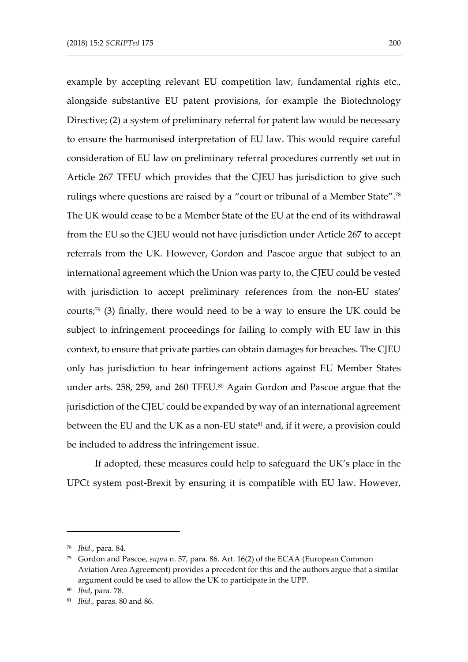example by accepting relevant EU competition law, fundamental rights etc., alongside substantive EU patent provisions, for example the Biotechnology Directive; (2) a system of preliminary referral for patent law would be necessary to ensure the harmonised interpretation of EU law. This would require careful consideration of EU law on preliminary referral procedures currently set out in Article 267 TFEU which provides that the CJEU has jurisdiction to give such rulings where questions are raised by a "court or tribunal of a Member State". 78 The UK would cease to be a Member State of the EU at the end of its withdrawal from the EU so the CJEU would not have jurisdiction under Article 267 to accept referrals from the UK. However, Gordon and Pascoe argue that subject to an international agreement which the Union was party to, the CJEU could be vested with jurisdiction to accept preliminary references from the non-EU states' courts; <sup>79</sup> (3) finally, there would need to be a way to ensure the UK could be subject to infringement proceedings for failing to comply with EU law in this context, to ensure that private parties can obtain damages for breaches. The CJEU only has jurisdiction to hear infringement actions against EU Member States under arts. 258, 259, and 260 TFEU.<sup>80</sup> Again Gordon and Pascoe argue that the jurisdiction of the CJEU could be expanded by way of an international agreement between the EU and the UK as a non-EU state<sup>81</sup> and, if it were, a provision could be included to address the infringement issue.

If adopted, these measures could help to safeguard the UK's place in the UPCt system post-Brexit by ensuring it is compatible with EU law. However,

<sup>78</sup> *Ibid.*, para. 84.

<sup>79</sup> Gordon and Pascoe, *supra* n. 57, para. 86. Art. 16(2) of the ECAA (European Common Aviation Area Agreement) provides a precedent for this and the authors argue that a similar argument could be used to allow the UK to participate in the UPP.

<sup>80</sup> *Ibid*, para. 78.

<sup>81</sup> *Ibid.*, paras. 80 and 86.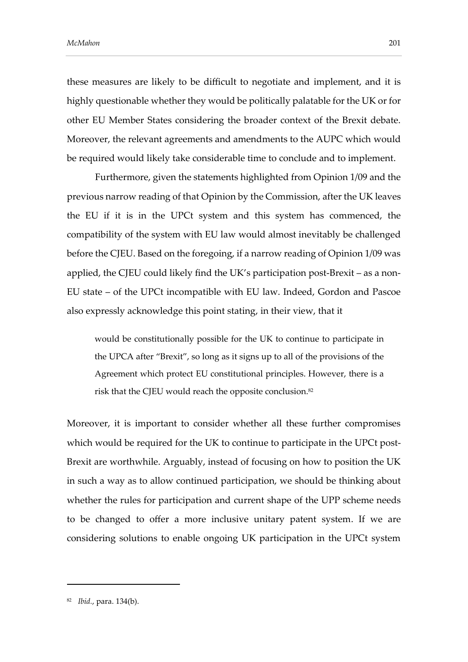these measures are likely to be difficult to negotiate and implement, and it is highly questionable whether they would be politically palatable for the UK or for other EU Member States considering the broader context of the Brexit debate. Moreover, the relevant agreements and amendments to the AUPC which would be required would likely take considerable time to conclude and to implement.

Furthermore, given the statements highlighted from Opinion 1/09 and the previous narrow reading of that Opinion by the Commission, after the UK leaves the EU if it is in the UPCt system and this system has commenced, the compatibility of the system with EU law would almost inevitably be challenged before the CJEU. Based on the foregoing, if a narrow reading of Opinion 1/09 was applied, the CJEU could likely find the UK's participation post-Brexit – as a non-EU state – of the UPCt incompatible with EU law. Indeed, Gordon and Pascoe also expressly acknowledge this point stating, in their view, that it

would be constitutionally possible for the UK to continue to participate in the UPCA after "Brexit", so long as it signs up to all of the provisions of the Agreement which protect EU constitutional principles. However, there is a risk that the CJEU would reach the opposite conclusion.<sup>82</sup>

Moreover, it is important to consider whether all these further compromises which would be required for the UK to continue to participate in the UPCt post-Brexit are worthwhile. Arguably, instead of focusing on how to position the UK in such a way as to allow continued participation, we should be thinking about whether the rules for participation and current shape of the UPP scheme needs to be changed to offer a more inclusive unitary patent system. If we are considering solutions to enable ongoing UK participation in the UPCt system

<sup>82</sup> *Ibid.*, para. 134(b).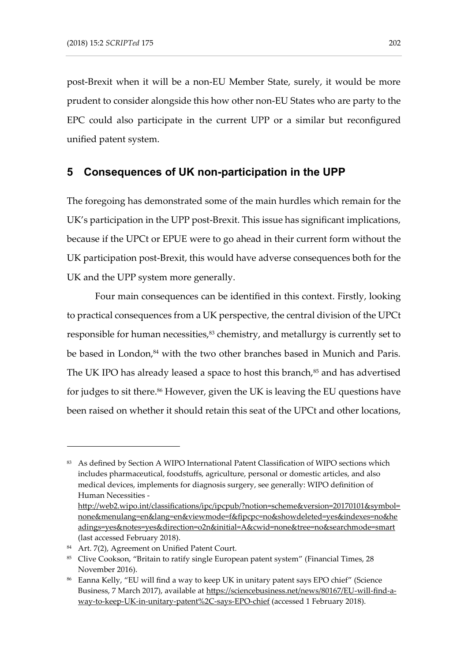post-Brexit when it will be a non-EU Member State, surely, it would be more prudent to consider alongside this how other non-EU States who are party to the EPC could also participate in the current UPP or a similar but reconfigured unified patent system.

### **5 Consequences of UK non-participation in the UPP**

The foregoing has demonstrated some of the main hurdles which remain for the UK's participation in the UPP post-Brexit. This issue has significant implications, because if the UPCt or EPUE were to go ahead in their current form without the UK participation post-Brexit, this would have adverse consequences both for the UK and the UPP system more generally.

Four main consequences can be identified in this context. Firstly, looking to practical consequences from a UK perspective, the central division of the UPCt responsible for human necessities, <sup>83</sup> chemistry, and metallurgy is currently set to be based in London, <sup>84</sup> with the two other branches based in Munich and Paris. The UK IPO has already leased a space to host this branch, $85$  and has advertised for judges to sit there. <sup>86</sup> However, given the UK is leaving the EU questions have been raised on whether it should retain this seat of the UPCt and other locations,

<sup>83</sup> As defined by Section A WIPO International Patent Classification of WIPO sections which includes pharmaceutical, foodstuffs, agriculture, personal or domestic articles, and also medical devices, implements for diagnosis surgery, see generally: WIPO definition of Human Necessities -

[http://web2.wipo.int/classifications/ipc/ipcpub/?notion=scheme&version=20170101&symbol=](http://web2.wipo.int/classifications/ipc/ipcpub/?notion=scheme&version=20170101&symbol=none&menulang=en&lang=en&viewmode=f&fipcpc=no&showdeleted=yes&indexes=no&headings=yes¬es=yes&direction=o2n&initial=A&cwid=none&tree=no&searchmode=smart) [none&menulang=en&lang=en&viewmode=f&fipcpc=no&showdeleted=yes&indexes=no&he](http://web2.wipo.int/classifications/ipc/ipcpub/?notion=scheme&version=20170101&symbol=none&menulang=en&lang=en&viewmode=f&fipcpc=no&showdeleted=yes&indexes=no&headings=yes¬es=yes&direction=o2n&initial=A&cwid=none&tree=no&searchmode=smart) [adings=yes&notes=yes&direction=o2n&initial=A&cwid=none&tree=no&searchmode=smart](http://web2.wipo.int/classifications/ipc/ipcpub/?notion=scheme&version=20170101&symbol=none&menulang=en&lang=en&viewmode=f&fipcpc=no&showdeleted=yes&indexes=no&headings=yes¬es=yes&direction=o2n&initial=A&cwid=none&tree=no&searchmode=smart) (last accessed February 2018).

<sup>84</sup> Art. 7(2), Agreement on Unified Patent Court.

<sup>85</sup> Clive Cookson, "Britain to ratify single European patent system" (Financial Times, 28 November 2016).

<sup>86</sup> Eanna Kelly, "EU will find a way to keep UK in unitary patent says EPO chief" (Science Business, 7 March 2017), available at [https://sciencebusiness.net/news/80167/EU-will-find-a](https://sciencebusiness.net/news/80167/EU-will-find-a-way-to-keep-UK-in-unitary-patent%2C-says-EPO-chief)[way-to-keep-UK-in-unitary-patent%2C-says-EPO-chief](https://sciencebusiness.net/news/80167/EU-will-find-a-way-to-keep-UK-in-unitary-patent%2C-says-EPO-chief) (accessed 1 February 2018).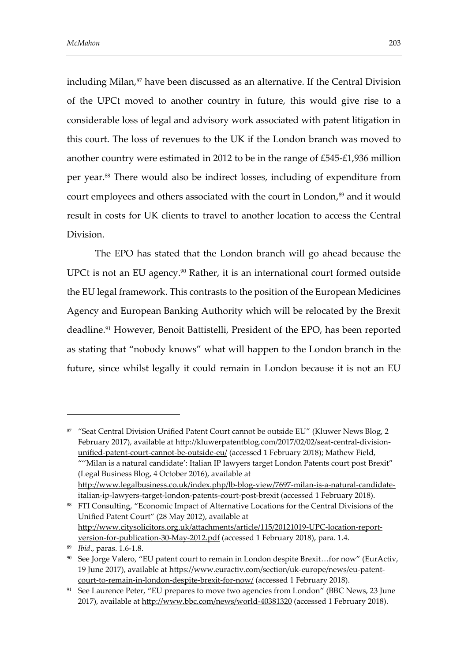including Milan, <sup>87</sup> have been discussed as an alternative. If the Central Division of the UPCt moved to another country in future, this would give rise to a considerable loss of legal and advisory work associated with patent litigation in this court. The loss of revenues to the UK if the London branch was moved to another country were estimated in 2012 to be in the range of £545-£1,936 million per year. <sup>88</sup> There would also be indirect losses, including of expenditure from court employees and others associated with the court in London, <sup>89</sup> and it would result in costs for UK clients to travel to another location to access the Central Division.

The EPO has stated that the London branch will go ahead because the UPCt is not an EU agency. <sup>90</sup> Rather, it is an international court formed outside the EU legal framework. This contrasts to the position of the European Medicines Agency and European Banking Authority which will be relocated by the Brexit deadline.<sup>91</sup> However, Benoit Battistelli, President of the EPO, has been reported as stating that "nobody knows" what will happen to the London branch in the future, since whilst legally it could remain in London because it is not an EU

88 FTI Consulting, "Economic Impact of Alternative Locations for the Central Divisions of the Unified Patent Court" (28 May 2012), available at [http://www.citysolicitors.org.uk/attachments/article/115/20121019-UPC-location-report](http://www.citysolicitors.org.uk/attachments/article/115/20121019-UPC-location-report-version-for-publication-30-May-2012.pdf)[version-for-publication-30-May-2012.pdf](http://www.citysolicitors.org.uk/attachments/article/115/20121019-UPC-location-report-version-for-publication-30-May-2012.pdf) (accessed 1 February 2018), para. 1.4.

<sup>87 &</sup>quot;Seat Central Division Unified Patent Court cannot be outside EU" (Kluwer News Blog, 2 February 2017), available at [http://kluwerpatentblog.com/2017/02/02/seat-central-division](http://kluwerpatentblog.com/2017/02/02/seat-central-division-unified-patent-court-cannot-be-outside-eu/)[unified-patent-court-cannot-be-outside-eu/](http://kluwerpatentblog.com/2017/02/02/seat-central-division-unified-patent-court-cannot-be-outside-eu/) (accessed 1 February 2018); Mathew Field, ""Milan is a natural candidate': Italian IP lawyers target London Patents court post Brexit" (Legal Business Blog, 4 October 2016), available at [http://www.legalbusiness.co.uk/index.php/lb-blog-view/7697-milan-is-a-natural-candidate](http://www.legalbusiness.co.uk/index.php/lb-blog-view/7697-milan-is-a-natural-candidate-italian-ip-lawyers-target-london-patents-court-post-brexit)[italian-ip-lawyers-target-london-patents-court-post-brexit](http://www.legalbusiness.co.uk/index.php/lb-blog-view/7697-milan-is-a-natural-candidate-italian-ip-lawyers-target-london-patents-court-post-brexit) (accessed 1 February 2018).

<sup>89</sup> *Ibid*., paras. 1.6-1.8.

<sup>90</sup> See Jorge Valero, "EU patent court to remain in London despite Brexit...for now" (EurActiv, 19 June 2017), available at [https://www.euractiv.com/section/uk-europe/news/eu-patent](https://www.euractiv.com/section/uk-europe/news/eu-patent-court-to-remain-in-london-despite-brexit-for-now/)[court-to-remain-in-london-despite-brexit-for-now/](https://www.euractiv.com/section/uk-europe/news/eu-patent-court-to-remain-in-london-despite-brexit-for-now/) (accessed 1 February 2018).

<sup>&</sup>lt;sup>91</sup> See Laurence Peter, "EU prepares to move two agencies from London" (BBC News, 23 June 2017), available at<http://www.bbc.com/news/world-40381320> (accessed 1 February 2018).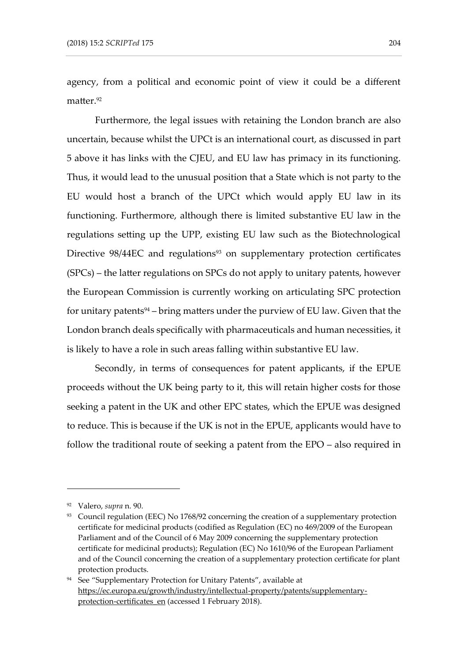agency, from a political and economic point of view it could be a different matter.<sup>92</sup>

Furthermore, the legal issues with retaining the London branch are also uncertain, because whilst the UPCt is an international court, as discussed in part 5 above it has links with the CJEU, and EU law has primacy in its functioning. Thus, it would lead to the unusual position that a State which is not party to the EU would host a branch of the UPCt which would apply EU law in its functioning. Furthermore, although there is limited substantive EU law in the regulations setting up the UPP, existing EU law such as the Biotechnological Directive 98/44EC and regulations<sup>93</sup> on supplementary protection certificates (SPCs) – the latter regulations on SPCs do not apply to unitary patents, however the European Commission is currently working on articulating SPC protection for unitary patents<sup>94</sup> – bring matters under the purview of EU law. Given that the London branch deals specifically with pharmaceuticals and human necessities, it is likely to have a role in such areas falling within substantive EU law.

Secondly, in terms of consequences for patent applicants, if the EPUE proceeds without the UK being party to it, this will retain higher costs for those seeking a patent in the UK and other EPC states, which the EPUE was designed to reduce. This is because if the UK is not in the EPUE, applicants would have to follow the traditional route of seeking a patent from the EPO – also required in

<sup>92</sup> Valero, *supra* n. 90.

<sup>93</sup> Council regulation (EEC) No 1768/92 concerning the creation of a supplementary protection certificate for medicinal products (codified as Regulation (EC) no 469/2009 of the European Parliament and of the Council of 6 May 2009 concerning the supplementary protection certificate for medicinal products); Regulation (EC) No 1610/96 of the European Parliament and of the Council concerning the creation of a supplementary protection certificate for plant protection products.

<sup>94</sup> See "Supplementary Protection for Unitary Patents", available at [https://ec.europa.eu/growth/industry/intellectual-property/patents/supplementary](https://ec.europa.eu/growth/industry/intellectual-property/patents/supplementary-protection-certificates_en)[protection-certificates\\_en](https://ec.europa.eu/growth/industry/intellectual-property/patents/supplementary-protection-certificates_en) (accessed 1 February 2018).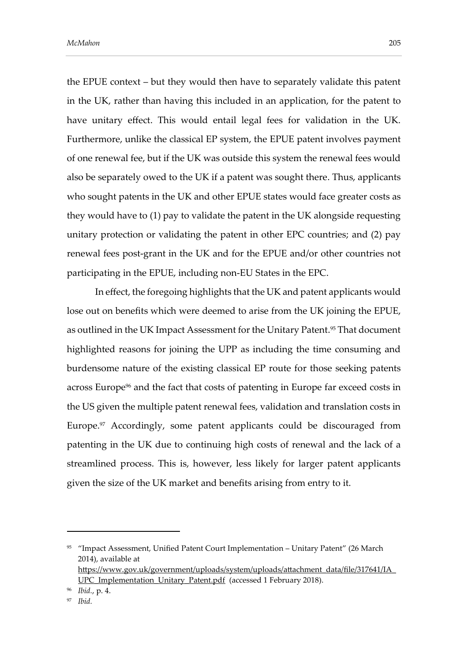the EPUE context – but they would then have to separately validate this patent in the UK, rather than having this included in an application, for the patent to have unitary effect. This would entail legal fees for validation in the UK. Furthermore, unlike the classical EP system, the EPUE patent involves payment of one renewal fee, but if the UK was outside this system the renewal fees would also be separately owed to the UK if a patent was sought there. Thus, applicants who sought patents in the UK and other EPUE states would face greater costs as they would have to (1) pay to validate the patent in the UK alongside requesting unitary protection or validating the patent in other EPC countries; and (2) pay renewal fees post-grant in the UK and for the EPUE and/or other countries not participating in the EPUE, including non-EU States in the EPC.

In effect, the foregoing highlights that the UK and patent applicants would lose out on benefits which were deemed to arise from the UK joining the EPUE, as outlined in the UK Impact Assessment for the Unitary Patent. <sup>95</sup> That document highlighted reasons for joining the UPP as including the time consuming and burdensome nature of the existing classical EP route for those seeking patents across Europe<sup>96</sup> and the fact that costs of patenting in Europe far exceed costs in the US given the multiple patent renewal fees, validation and translation costs in Europe.<sup>97</sup> Accordingly, some patent applicants could be discouraged from patenting in the UK due to continuing high costs of renewal and the lack of a streamlined process. This is, however, less likely for larger patent applicants given the size of the UK market and benefits arising from entry to it.

<sup>96</sup> *Ibid.*, p. 4.

<sup>95</sup> "Impact Assessment, Unified Patent Court Implementation – Unitary Patent" (26 March 2014), available at [https://www.gov.uk/government/uploads/system/uploads/attachment\\_data/file/317641/IA\\_](https://www.gov.uk/government/uploads/system/uploads/attachment_data/file/317641/IA_UPC_Implementation_Unitary_Patent.pdf) [UPC\\_Implementation\\_Unitary\\_Patent.pdf](https://www.gov.uk/government/uploads/system/uploads/attachment_data/file/317641/IA_UPC_Implementation_Unitary_Patent.pdf) (accessed 1 February 2018).

*Ibid.*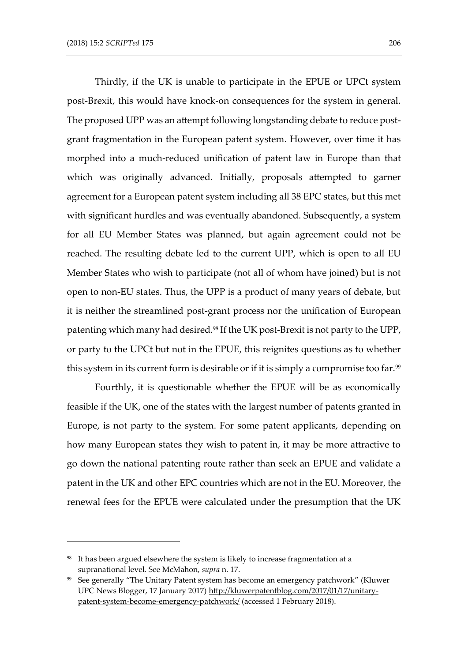Thirdly, if the UK is unable to participate in the EPUE or UPCt system post-Brexit, this would have knock-on consequences for the system in general. The proposed UPP was an attempt following longstanding debate to reduce postgrant fragmentation in the European patent system. However, over time it has morphed into a much-reduced unification of patent law in Europe than that which was originally advanced. Initially, proposals attempted to garner agreement for a European patent system including all 38 EPC states, but this met with significant hurdles and was eventually abandoned. Subsequently, a system for all EU Member States was planned, but again agreement could not be reached. The resulting debate led to the current UPP, which is open to all EU Member States who wish to participate (not all of whom have joined) but is not open to non-EU states. Thus, the UPP is a product of many years of debate, but it is neither the streamlined post-grant process nor the unification of European patenting which many had desired.<sup>98</sup> If the UK post-Brexit is not party to the UPP, or party to the UPCt but not in the EPUE, this reignites questions as to whether this system in its current form is desirable or if it is simply a compromise too far.<sup>99</sup>

Fourthly, it is questionable whether the EPUE will be as economically feasible if the UK, one of the states with the largest number of patents granted in Europe, is not party to the system. For some patent applicants, depending on how many European states they wish to patent in, it may be more attractive to go down the national patenting route rather than seek an EPUE and validate a patent in the UK and other EPC countries which are not in the EU. Moreover, the renewal fees for the EPUE were calculated under the presumption that the UK

<sup>98</sup> It has been argued elsewhere the system is likely to increase fragmentation at a supranational level. See McMahon, *supra* n. 17.

<sup>99</sup> See generally "The Unitary Patent system has become an emergency patchwork" (Kluwer UPC News Blogger, 17 January 2017[\) http://kluwerpatentblog.com/2017/01/17/unitary](http://kluwerpatentblog.com/2017/01/17/unitary-patent-system-become-emergency-patchwork/)[patent-system-become-emergency-patchwork/](http://kluwerpatentblog.com/2017/01/17/unitary-patent-system-become-emergency-patchwork/) (accessed 1 February 2018).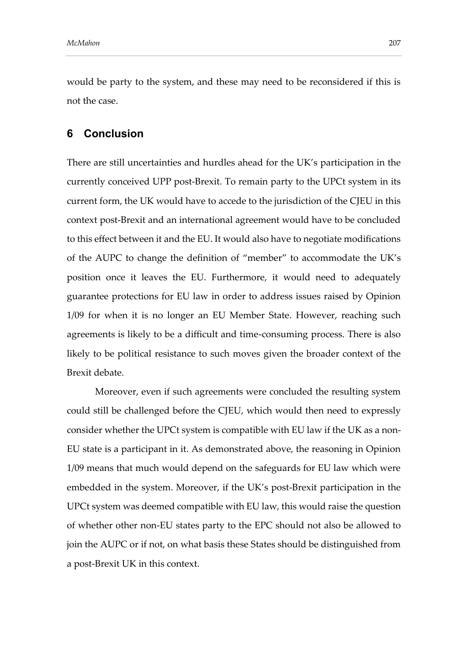would be party to the system, and these may need to be reconsidered if this is not the case.

### **6 Conclusion**

There are still uncertainties and hurdles ahead for the UK's participation in the currently conceived UPP post-Brexit. To remain party to the UPCt system in its current form, the UK would have to accede to the jurisdiction of the CJEU in this context post-Brexit and an international agreement would have to be concluded to this effect between it and the EU. It would also have to negotiate modifications of the AUPC to change the definition of "member" to accommodate the UK's position once it leaves the EU. Furthermore, it would need to adequately guarantee protections for EU law in order to address issues raised by Opinion 1/09 for when it is no longer an EU Member State. However, reaching such agreements is likely to be a difficult and time-consuming process. There is also likely to be political resistance to such moves given the broader context of the Brexit debate.

Moreover, even if such agreements were concluded the resulting system could still be challenged before the CJEU, which would then need to expressly consider whether the UPCt system is compatible with EU law if the UK as a non-EU state is a participant in it. As demonstrated above, the reasoning in Opinion 1/09 means that much would depend on the safeguards for EU law which were embedded in the system. Moreover, if the UK's post-Brexit participation in the UPCt system was deemed compatible with EU law, this would raise the question of whether other non-EU states party to the EPC should not also be allowed to join the AUPC or if not, on what basis these States should be distinguished from a post-Brexit UK in this context.